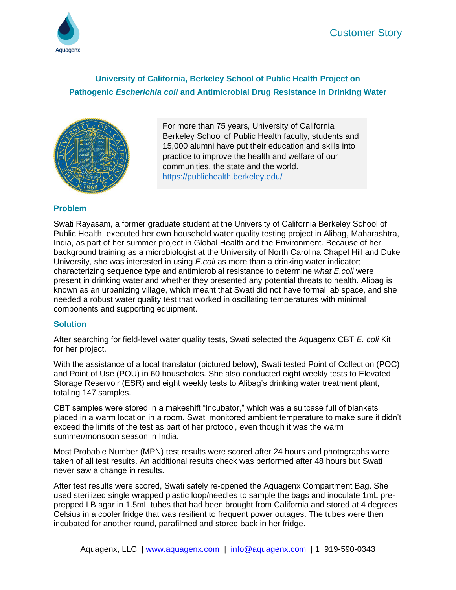

# **University of California, Berkeley School of Public Health Project on Pathogenic** *Escherichia coli* **and Antimicrobial Drug Resistance in Drinking Water**



For more than 75 years, University of California Berkeley School of Public Health faculty, students and 15,000 alumni have put their education and skills into practice to improve the health and welfare of our communities, the state and the world. <https://publichealth.berkeley.edu/>

## **Problem**

Swati Rayasam, a former graduate student at the University of California Berkeley School of Public Health, executed her own household water quality testing project in Alibag, Maharashtra, India, as part of her summer project in Global Health and the Environment. Because of her background training as a microbiologist at the University of North Carolina Chapel Hill and Duke University, she was interested in using *E.coli* as more than a drinking water indicator; characterizing sequence type and antimicrobial resistance to determine *what E.coli* were present in drinking water and whether they presented any potential threats to health. Alibag is known as an urbanizing village, which meant that Swati did not have formal lab space, and she needed a robust water quality test that worked in oscillating temperatures with minimal components and supporting equipment.

## **Solution**

After searching for field-level water quality tests, Swati selected the Aquagenx CBT *E. coli* Kit for her project.

With the assistance of a local translator (pictured below), Swati tested Point of Collection (POC) and Point of Use (POU) in 60 households. She also conducted eight weekly tests to Elevated Storage Reservoir (ESR) and eight weekly tests to Alibag's drinking water treatment plant, totaling 147 samples.

CBT samples were stored in a makeshift "incubator," which was a suitcase full of blankets placed in a warm location in a room. Swati monitored ambient temperature to make sure it didn't exceed the limits of the test as part of her protocol, even though it was the warm summer/monsoon season in India.

Most Probable Number (MPN) test results were scored after 24 hours and photographs were taken of all test results. An additional results check was performed after 48 hours but Swati never saw a change in results.

After test results were scored, Swati safely re-opened the Aquagenx Compartment Bag. She used sterilized single wrapped plastic loop/needles to sample the bags and inoculate 1mL preprepped LB agar in 1.5mL tubes that had been brought from California and stored at 4 degrees Celsius in a cooler fridge that was resilient to frequent power outages. The tubes were then incubated for another round, parafilmed and stored back in her fridge.